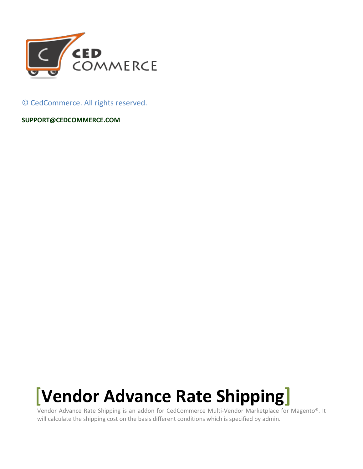

© CedCommerce. All rights reserved.

**[SUPPORT@CEDCOMMERCE.COM](mailto:SUPPORT@CEDCOMMERCE.COM)**

# **[Vendor Advance Rate Shipping]**

Vendor Advance Rate Shipping is an addon for CedCommerce Multi-Vendor Marketplace for Magento®. It will calculate the shipping cost on the basis different conditions which is specified by admin.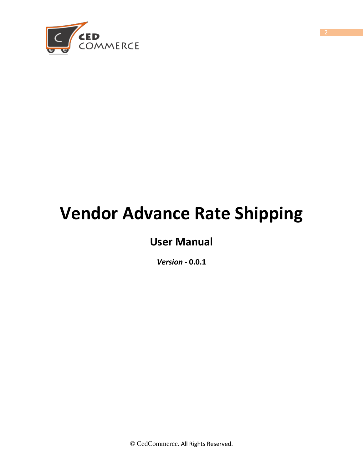

# **Vendor Advance Rate Shipping**

# **User Manual**

*Version* **- 0.0.1**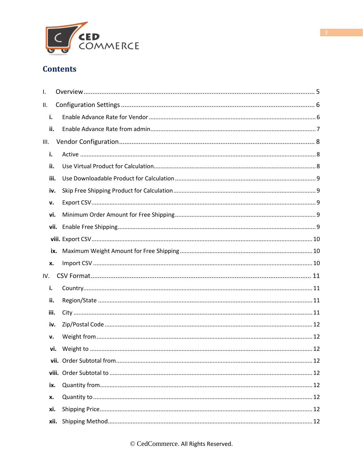

# **Contents**

| ı.   |      |  |
|------|------|--|
| ΙΙ.  |      |  |
| i.   |      |  |
| ii.  |      |  |
| Ш.   |      |  |
| i.   |      |  |
| ii.  |      |  |
| iii. |      |  |
| iv.  |      |  |
| v.   |      |  |
| vi.  |      |  |
|      |      |  |
|      |      |  |
|      | ix.  |  |
| x.   |      |  |
| IV.  |      |  |
| i.   |      |  |
| ii.  |      |  |
| iii. |      |  |
| iv.  |      |  |
| v.   |      |  |
| vi.  |      |  |
|      |      |  |
|      |      |  |
| ix.  |      |  |
| x.   |      |  |
| xi.  |      |  |
|      | xii. |  |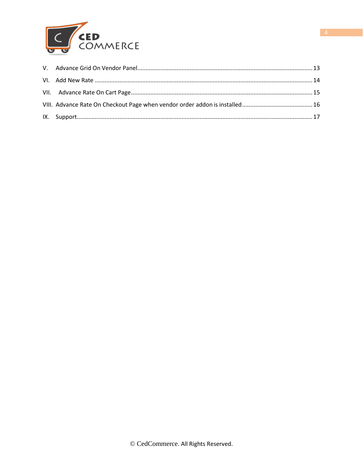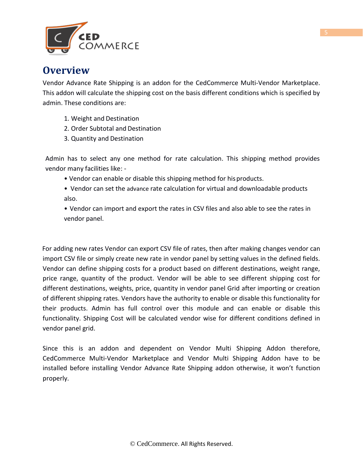

# **Overview**

Vendor Advance Rate Shipping is an addon for the CedCommerce Multi-Vendor Marketplace. This addon will calculate the shipping cost on the basis different conditions which is specified by admin. These conditions are:

- 1. Weight and Destination
- 2. Order Subtotal and Destination
- 3. Quantity and Destination

Admin has to select any one method for rate calculation. This shipping method provides vendor many facilities like: -

- Vendor can enable or disable this shipping method for hisproducts.
- Vendor can set the advance rate calculation for virtual and downloadable products also.

• Vendor can import and export the rates in CSV files and also able to see the rates in vendor panel.

For adding new rates Vendor can export CSV file of rates, then after making changes vendor can import CSV file or simply create new rate in vendor panel by setting values in the defined fields. Vendor can define shipping costs for a product based on different destinations, weight range, price range, quantity of the product. Vendor will be able to see different shipping cost for different destinations, weights, price, quantity in vendor panel Grid after importing or creation of different shipping rates. Vendors have the authority to enable or disable this functionality for their products. Admin has full control over this module and can enable or disable this functionality. Shipping Cost will be calculated vendor wise for different conditions defined in vendor panel grid.

Since this is an addon and dependent on Vendor Multi Shipping Addon therefore, CedCommerce Multi-Vendor Marketplace and Vendor Multi Shipping Addon have to be installed before installing Vendor Advance Rate Shipping addon otherwise, it won't function properly.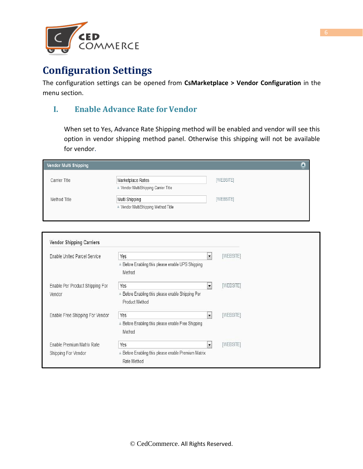

# **Configuration Settings**

The configuration settings can be opened from **CsMarketplace > Vendor Configuration** in the menu section.

## **I. Enable Advance Rate for Vendor**

When set to Yes, Advance Rate Shipping method will be enabled and vendor will see this option in vendor shipping method panel. Otherwise this shipping will not be available for vendor.

| Vendor Multi Shipping |                                                         |           |
|-----------------------|---------------------------------------------------------|-----------|
| Carrier Title         | Marketplace Rates<br>Vendor MultiShipping Carrier Title | [WEBSITE] |
| Method Title          | Multi Shipping<br>▲ Vendor MultiShipping Method Title   | [WEBSITE] |

| Enable United Parcel Service    | Yes                                                               | $\blacktriangledown$ | [WEBSITE] |
|---------------------------------|-------------------------------------------------------------------|----------------------|-----------|
|                                 | A Before Enabling this please enable UPS Shipping<br>Method       |                      |           |
| Enable Per Product Shipping For | Yes                                                               | $\blacktriangledown$ | [WEBSITE] |
| Vendor                          | Before Enabling this please enable Shipping Per<br>Product Method |                      |           |
| Enable Free Shipping For Vendor | Yes                                                               | $\blacktriangledown$ | [WEBSITE] |
|                                 | ▲ Before Enabling this please enable Free Shipping<br>Method      |                      |           |
| Enable Premium Matrix Rate      | Yes                                                               | $\blacktriangledown$ | [WEBSITE] |
| Shipping For Vendor             | Before Enabling this please enable Premium Matrix<br>Rate Method  |                      |           |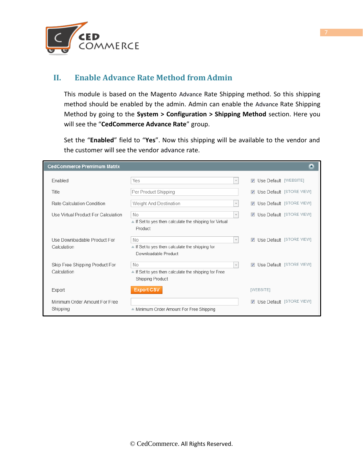

## **II. Enable Advance Rate Method from Admin**

This module is based on the Magento Advance Rate Shipping method. So this shipping method should be enabled by the admin. Admin can enable the Advance Rate Shipping Method by going to the **System > Configuration > Shipping Method** section. Here you will see the "**CedCommerce Advance Rate**" group.

Set the "**Enabled**" field to "**Yes**". Now this shipping will be available to the vendor and the customer will see the vendor advance rate.

| <b>CedCommerce Premimum Matrix</b>  |                                                                                        |                                   |
|-------------------------------------|----------------------------------------------------------------------------------------|-----------------------------------|
| Enabled                             | Yes<br>$\overline{\mathbf{v}}$                                                         | <b>V</b> Use Default [WEBSITE]    |
| Title                               | Per Product Shipping                                                                   | <b>V</b> Use Default [STORE VIEW] |
| Rate Calculation Condition          | Weight And Destination<br>$\overline{\mathbf{v}}$                                      | <b>V</b> Use Default [STORE VIEW] |
| Use Virtual Product For Calculation | No<br>$\overline{\psi}$                                                                | Use Default [STORE VIEW]          |
|                                     | ■ If Set to yes then calculate the shipping for Virtual<br>Product                     |                                   |
| Use Downloadable Product For        | No<br>$\overline{\nabla}$                                                              | Use Default [STORE VIEW]          |
| Calculation                         | $\blacktriangle$ If Set to yes then calculate the shipping for<br>Downloadable Product |                                   |
| Skip Free Shipping Product For      | No<br>$\overline{\nabla}$                                                              | <b>V</b> Use Default [STORE VIEW] |
| Calculation                         | ▲ If Set to yes then calculate the shipping for Free<br>Shipping Product               |                                   |
| Export                              | <b>Export CSV</b>                                                                      | [WEBSITE]                         |
| Minimum Order Amount For Free       |                                                                                        | Use Default [STORE VIEW]          |
| Shipping                            | ▲ Minimum Order Amount For Free Shipping                                               |                                   |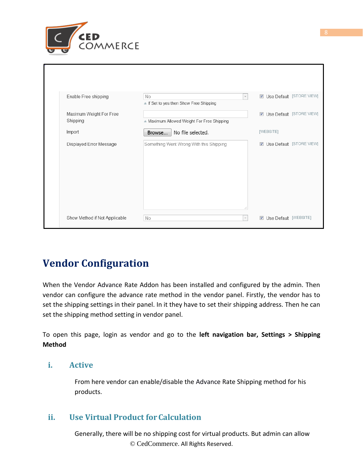

| Enable Free shipping                | No<br>$\overline{\phantom{a}}$<br>If Set to yes then Show Free Shipping | Use Default [STORE VIEW]       |
|-------------------------------------|-------------------------------------------------------------------------|--------------------------------|
| Maximum Weight For Free<br>Shipping | ▲ Maximum Allowed Weight For Free Shipping                              | Use Default [STORE VIEW]       |
| Import                              | No file selected.<br>Browse                                             | [WEBSITE]                      |
| Displayed Error Message             | Something Went Wrong With this Shipping<br>лî.                          | Use Default [STORE VIEW]       |
| Show Method if Not Applicable       | No<br>$\overline{\mathbf{v}}$                                           | <b>V</b> Use Default [WEBSITE] |

# **Vendor Configuration**

When the Vendor Advance Rate Addon has been installed and configured by the admin. Then vendor can configure the advance rate method in the vendor panel. Firstly, the vendor has to set the shipping settings in their panel. In it they have to set their shipping address. Then he can set the shipping method setting in vendor panel.

To open this page, login as vendor and go to the **left navigation bar, Settings > Shipping Method**

### **i. Active**

From here vendor can enable/disable the Advance Rate Shipping method for his products.

## **ii. Use Virtual Product for Calculation**

© CedCommerce. All Rights Reserved. Generally, there will be no shipping cost for virtual products. But admin can allow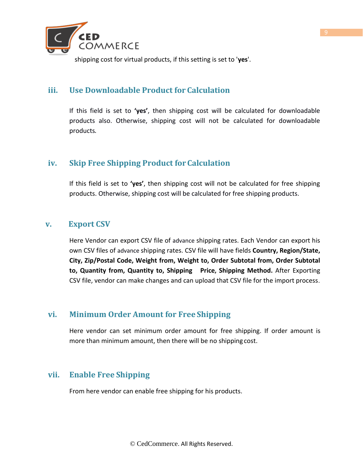

shipping cost for virtual products, if this setting is set to '**yes**'.

## **iii. Use Downloadable Product for Calculation**

If this field is set to **'yes'**, then shipping cost will be calculated for downloadable products also. Otherwise, shipping cost will not be calculated for downloadable products.

## **iv. Skip Free Shipping Product forCalculation**

If this field is set to **'yes'**, then shipping cost will not be calculated for free shipping products. Otherwise, shipping cost will be calculated for free shipping products.

### **v. Export CSV**

Here Vendor can export CSV file of advance shipping rates. Each Vendor can export his own CSV files of advance shipping rates. CSV file will have fields **Country, Region/State, City, Zip/Postal Code, Weight from, Weight to, Order Subtotal from, Order Subtotal to, Quantity from, Quantity to, Shipping Price, Shipping Method.** After Exporting CSV file, vendor can make changes and can upload that CSV file for the import process.

### **vi. Minimum Order Amount for Free Shipping**

Here vendor can set minimum order amount for free shipping. If order amount is more than minimum amount, then there will be no shipping cost.

### **vii. Enable Free Shipping**

From here vendor can enable free shipping for his products.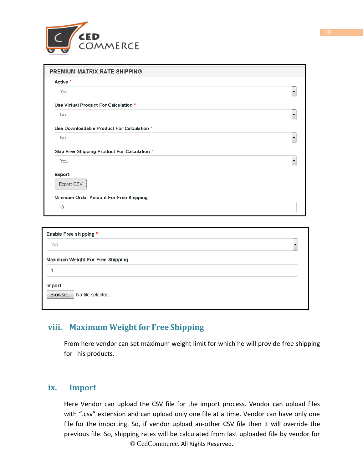

| <b>PREMIUM MATRIX RATE SHIPPING</b>                    |                      |
|--------------------------------------------------------|----------------------|
| Active *                                               |                      |
| Yes                                                    | ▼                    |
| Use Virtual Product For Calculation *                  |                      |
| <b>No</b>                                              | ▼                    |
| Use Downloadable Product For Calculation *             |                      |
| No                                                     | ▼                    |
| Skip Free Shipping Product For Calculation *           | $\blacktriangledown$ |
| Yes                                                    |                      |
|                                                        |                      |
| Export CSV                                             |                      |
|                                                        |                      |
| Export<br>Minimum Order Amount For Free Shipping<br>10 |                      |

| Enable Free shipping *                |  |
|---------------------------------------|--|
| No                                    |  |
| Maximum Weight For Free Shipping      |  |
|                                       |  |
| Import<br>Browse<br>No file selected. |  |

## **viii. Maximum Weight for Free Shipping**

From here vendor can set maximum weight limit for which he will provide free shipping for his products.

#### **ix. Import**

© CedCommerce. All Rights Reserved. Here Vendor can upload the CSV file for the import process. Vendor can upload files with ".csv" extension and can upload only one file at a time. Vendor can have only one file for the importing. So, if vendor upload an-other CSV file then it will override the previous file. So, shipping rates will be calculated from last uploaded file by vendor for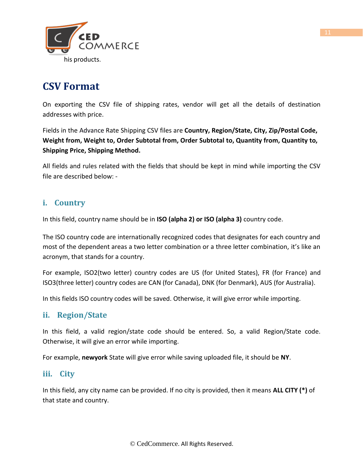

# **CSV Format**

On exporting the CSV file of shipping rates, vendor will get all the details of destination addresses with price.

Fields in the Advance Rate Shipping CSV files are **Country, Region/State, City, Zip/Postal Code, Weight from, Weight to, Order Subtotal from, Order Subtotal to, Quantity from, Quantity to, Shipping Price, Shipping Method.**

All fields and rules related with the fields that should be kept in mind while importing the CSV file are described below: -

## **i. Country**

In this field, country name should be in **ISO (alpha 2) or ISO (alpha 3)** country code.

The ISO country code are internationally recognized codes that designates for each country and most of the dependent areas a two letter combination or a three letter combination, it's like an acronym, that stands for a country.

For example, ISO2(two letter) country codes are US (for United States), FR (for France) and ISO3(three letter) country codes are CAN (for Canada), DNK (for Denmark), AUS (for Australia).

In this fields ISO country codes will be saved. Otherwise, it will give error while importing.

## **ii. Region/State**

In this field, a valid region/state code should be entered. So, a valid Region/State code. Otherwise, it will give an error while importing.

For example, **newyork** State will give error while saving uploaded file, it should be **NY**.

### **iii. City**

In this field, any city name can be provided. If no city is provided, then it means **ALL CITY (\*)** of that state and country.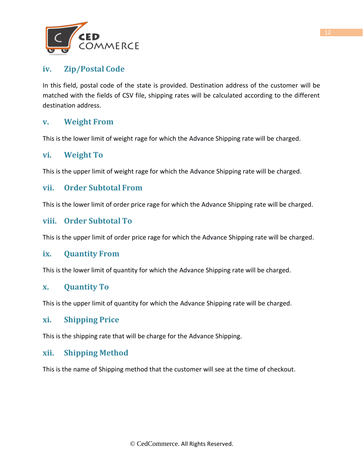

## **iv. Zip/Postal Code**

In this field, postal code of the state is provided. Destination address of the customer will be matched with the fields of CSV file, shipping rates will be calculated according to the different destination address.

## **v. Weight From**

This is the lower limit of weight rage for which the Advance Shipping rate will be charged.

### **vi. Weight To**

This is the upper limit of weight rage for which the Advance Shipping rate will be charged.

#### **vii. Order Subtotal From**

This is the lower limit of order price rage for which the Advance Shipping rate will be charged.

#### **viii. Order Subtotal To**

This is the upper limit of order price rage for which the Advance Shipping rate will be charged.

#### **ix. Quantity From**

This is the lower limit of quantity for which the Advance Shipping rate will be charged.

#### **x. Quantity To**

This is the upper limit of quantity for which the Advance Shipping rate will be charged.

#### **xi. Shipping Price**

This is the shipping rate that will be charge for the Advance Shipping.

#### **xii. Shipping Method**

This is the name of Shipping method that the customer will see at the time of checkout.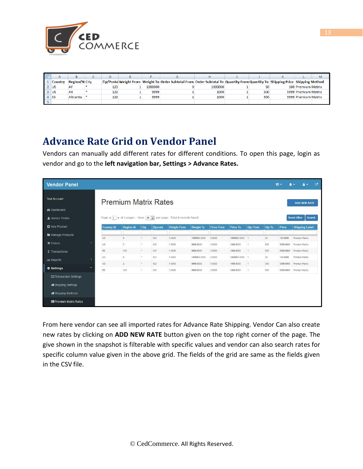

| $\mathsf{A}$   |                       |     |         |                                                                                                                                 |         |     | M                   |
|----------------|-----------------------|-----|---------|---------------------------------------------------------------------------------------------------------------------------------|---------|-----|---------------------|
| <b>Country</b> | <b>Region/St City</b> |     |         | Zip/Postal Weight From Weight To Order Subtotal From Order Subtotal To Quantity From Quantity To Shipping Price Shipping Method |         |     |                     |
| $2$ US         | AF                    | 123 | 1000000 |                                                                                                                                 | 1000000 | 50  | 100 Premium Matrix  |
| $3$ US         | AK                    | 123 | 9999    |                                                                                                                                 | 1000    | 500 | 5999 Premium Matrix |
| $4$ ES         | Alicante              | 123 | 9999    |                                                                                                                                 | 1000    | 500 | 5999 Premium Matrix |
|                |                       |     |         |                                                                                                                                 |         |     |                     |

# **Advance Rate Grid on Vendor Panel**

Vendors can manually add different rates for different conditions. To open this page, login as vendor and go to the **left navigation bar, Settings > Advance Rates.**

| <b>Vendor Panel</b>                               |                   |                             |                 |         |                                                                                                                |                  |                   |                 |                 |               | $\equiv$ - | ₫<br>$2 -$                    |
|---------------------------------------------------|-------------------|-----------------------------|-----------------|---------|----------------------------------------------------------------------------------------------------------------|------------------|-------------------|-----------------|-----------------|---------------|------------|-------------------------------|
| <b>Test Account</b>                               |                   | <b>Premium Matrix Rates</b> |                 |         |                                                                                                                |                  |                   |                 |                 |               |            | <b>ADD NEW RATE</b>           |
| <b>&amp;</b> Dashboard                            |                   |                             |                 |         |                                                                                                                |                  |                   |                 |                 |               |            |                               |
| & Vendor Profile                                  |                   |                             |                 |         | Page $\triangleleft$ 1 $\triangleright$ of 1 pages   View 20 $\triangleright$ per page   Total 6 records found |                  |                   |                 |                 |               |            | <b>Reset Filter</b><br>Search |
| <b>D</b> New Product                              | <b>Country Id</b> | <b>Region Id</b>            | City            | Zipcode | <b>Weight From</b>                                                                                             | <b>Weight To</b> | <b>Price From</b> | <b>Price To</b> | <b>Qty From</b> | <b>Qty To</b> | Price      | <b>Shipping Label</b>         |
| <b>In Manage Products</b>                         | <b>US</b>         | 6                           | $\mathcal{A}$   | 123     | 1.0000                                                                                                         | 1000000.0000     | 0.0000            | 1000000.0000    |                 | 50            | 100,0000   | Premium Matrix                |
| <b>n</b> Orders                                   | <b>US</b>         | $\overline{2}$              |                 | 123     | 1.0000                                                                                                         | 9999.0000        | 1.0000            | 1000.0000       |                 | 500           | 5999.0000  | Premium Matrix                |
| \$ Transactions                                   | ES.               | 133                         | $\lambda$       | 123     | 1.0000                                                                                                         | 9999.0000        | 1,0000            | 1000.0000       | $\mathbf{1}$    | 500           | 5999.0000  | Premium Matrix                |
| <b>III</b> Reports                                | US                | G.                          | <b>External</b> | 123     | 1.0000                                                                                                         | 1000000.0000     | 0.0000            | 1000000.0000    | и               | 50            | 100.0000   | Premium Matrix                |
| <b><math>\Phi</math></b> Settings<br>$\checkmark$ | US.               | $\overline{2}$              | 土               | 123     | 1.0000                                                                                                         | 9999.0000        | 1,0000            | 1000.0000       | $\mathcal{L}$   | 500           | 5999.0000  | Premium Matrix                |
|                                                   | <b>ES</b>         | 133                         | $\pm$           | 123     | 1,0000                                                                                                         | 9999.0000        | 1,0000            | 1000.0000       | 1               | 500           | 5999.0000  | Premium Matrix                |
| <b>El Transaction Settings</b>                    |                   |                             |                 |         |                                                                                                                |                  |                   |                 |                 |               |            |                               |
| <b>49 Shipping Settings</b>                       |                   |                             |                 |         |                                                                                                                |                  |                   |                 |                 |               |            |                               |
| <b>Shipping Methods</b>                           |                   |                             |                 |         |                                                                                                                |                  |                   |                 |                 |               |            |                               |
| <b>E</b> Premium Matrix Rates                     |                   |                             |                 |         |                                                                                                                |                  |                   |                 |                 |               |            |                               |

From here vendor can see all imported rates for Advance Rate Shipping. Vendor Can also create new rates by clicking on **ADD NEW RATE** button given on the top right corner of the page. The give shown in the snapshot is filterable with specific values and vendor can also search rates for specific column value given in the above grid. The fields of the grid are same as the fields given in the CSV file.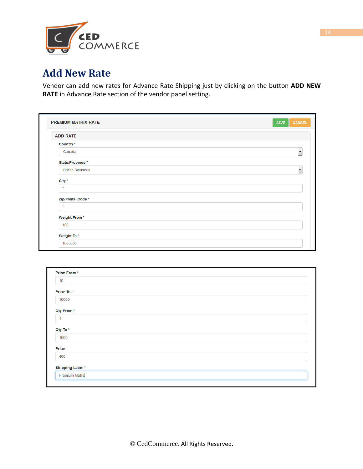

# **Add New Rate**

Vendor can add new rates for Advance Rate Shipping just by clicking on the button **ADD NEW RATE** in Advance Rate section of the vendor panel setting.

| <b>ADD RATE</b>         |  |
|-------------------------|--|
| Country *               |  |
| Canada                  |  |
| State/Province *        |  |
| <b>British Columbia</b> |  |
| City *                  |  |
| $\star$                 |  |
| Zip/Postal Code *       |  |
| $\star$                 |  |
| <b>Weight From*</b>     |  |
| 100                     |  |

| Price From*            |  |  |
|------------------------|--|--|
| 10                     |  |  |
| Price To*              |  |  |
| 10000                  |  |  |
| Qty From*              |  |  |
| $\mathbf 1$            |  |  |
| Qty To *               |  |  |
| 1000                   |  |  |
| Price *                |  |  |
| 400                    |  |  |
| <b>Shipping Label*</b> |  |  |
| <b>Premium Matrix</b>  |  |  |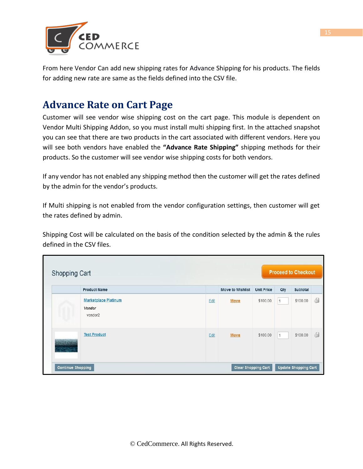

From here Vendor Can add new shipping rates for Advance Shipping for his products. The fields for adding new rate are same as the fields defined into the CSV file.

# **Advance Rate on Cart Page**

Customer will see vendor wise shipping cost on the cart page. This module is dependent on Vendor Multi Shipping Addon, so you must install multi shipping first. In the attached snapshot you can see that there are two products in the cart associated with different vendors. Here you will see both vendors have enabled the **"Advance Rate Shipping"** shipping methods for their products. So the customer will see vendor wise shipping costs for both vendors.

If any vendor has not enabled any shipping method then the customer will get the rates defined by the admin for the vendor's products.

If Multi shipping is not enabled from the vendor configuration settings, then customer will get the rates defined by admin.

Shipping Cost will be calculated on the basis of the condition selected by the admin & the rules defined in the CSV files.

| Shopping Cart            |                                                              |      |                            |                   |     | <b>Proceed to Checkout</b>  |   |
|--------------------------|--------------------------------------------------------------|------|----------------------------|-------------------|-----|-----------------------------|---|
|                          | <b>Product Name</b>                                          |      | <b>Move to Wishlist</b>    | <b>Unit Price</b> | Qty | Subtotal                    |   |
|                          | <b>Marketplace Platinum</b><br>Vendor<br>vendor <sub>2</sub> | Edit | Move                       | \$100.00          | 1   | \$100.00                    | ó |
|                          | <b>Test Product</b>                                          | Edit | <b>Move</b>                | \$100.00          | 1   | \$100.00                    | Ġ |
| <b>Continue Shopping</b> |                                                              |      | <b>Clear Shopping Cart</b> |                   |     | <b>Update Shopping Cart</b> |   |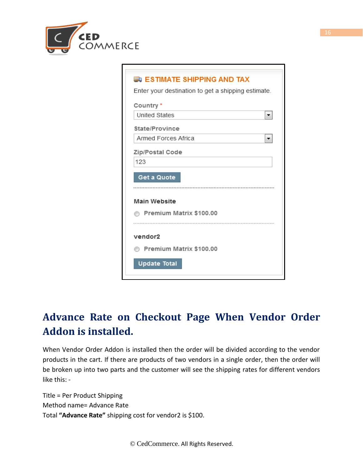

| <b>ED ESTIMATE SHIPPING AND TAX</b>                |
|----------------------------------------------------|
| Enter your destination to get a shipping estimate. |
| Country*                                           |
| <b>United States</b>                               |
| State/Province                                     |
| Armed Forces Africa                                |
| Zip/Postal Code                                    |
| 123                                                |
| Get a Quote                                        |
| <b>Main Website</b>                                |
|                                                    |
| Premium Matrix \$100.00                            |
| vendor2                                            |
|                                                    |
| Premium Matrix \$100.00                            |
| <b>Update Total</b>                                |

# **Advance Rate on Checkout Page When Vendor Order Addon is installed.**

When Vendor Order Addon is installed then the order will be divided according to the vendor products in the cart. If there are products of two vendors in a single order, then the order will be broken up into two parts and the customer will see the shipping rates for different vendors like this: -

Title = Per Product Shipping Method name= Advance Rate Total **"Advance Rate"** shipping cost for vendor2 is \$100.